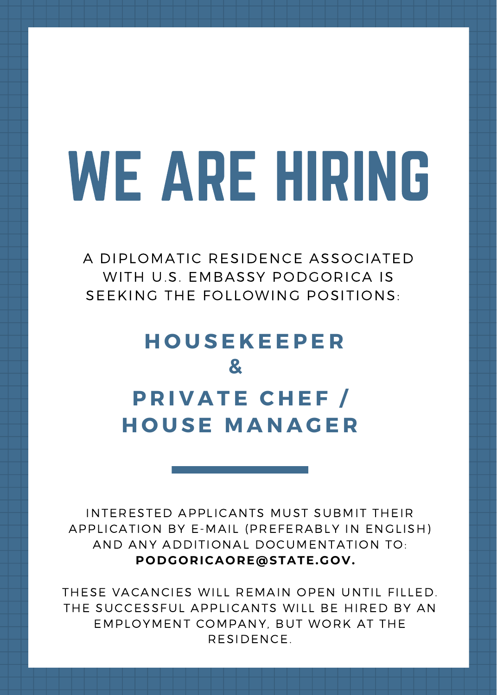# WE ARE HIRING

A DIPLOMATIC RESIDENCE ASSOCIATED WITH U.S. EMBASSY PODGORICA IS SEEKING THE FOLLOWING POSITIONS:

## **H O U S E K E E P E R & P R I V A T E C H E F / H O U S E M A N A G E R**

INTERESTED APPLICANTS MUST SUBMIT THEIR APPLICATION BY E-MAIL (PREFERABLY IN ENGLISH) AND ANY ADDITIONAL DOCUMENTATION TO: **PODGORICAORE@STATE.GOV.**

THESE VACANCIES WILL REMAIN OPEN UNTIL FILLED. THE SUCCESSFUL APPLICANTS WILL BE HIRED BY AN EMPLOYMENT COMPANY, BUT WORK AT THE RESIDENCE.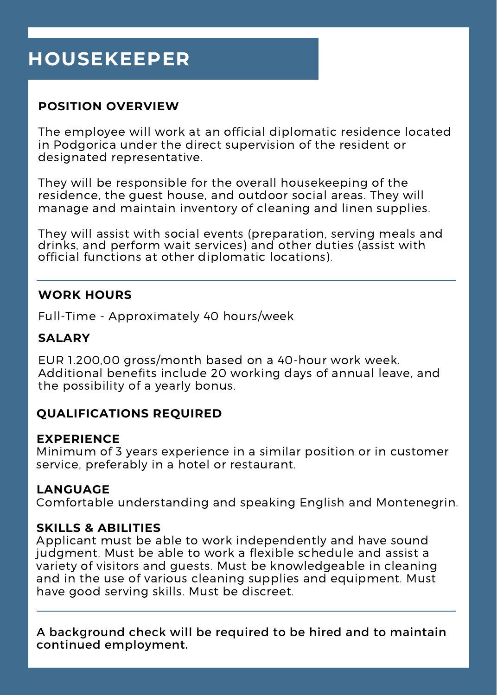## **HOUSEKEEPER**

#### **POSITION OVERVIEW**

The employee will work at an official diplomatic residence located in Podgorica under the direct supervision of the resident or designated representative.

They will be responsible for the overall housekeeping of the residence, the guest house, and outdoor social areas. They will manage and maintain inventory of cleaning and linen supplies.

They will assist with social events (preparation, serving meals and drinks, and perform wait services) and other duties (assist with official functions at other diplomatic locations).

#### **WORK HOURS**

Full-Time - Approximately 40 hours/week

#### **SALARY**

EUR 1.200,00 gross/month based on a 40-hour work week. Additional benefits include 20 working days of annual leave, and the possibility of a yearly bonus.

#### **QUALIFICATIONS REQUIRED**

#### **EXPERIENCE**

Minimum of 3 years experience in a similar position or in customer service, preferably in a hotel or restaurant.

#### **LANGUAGE**

Comfortable understanding and speaking English and Montenegrin.

#### **SKILLS & ABILITIES**

Applicant must be able to work independently and have sound judgment. Must be able to work a flexible schedule and assist a variety of visitors and guests. Must be knowledgeable in cleaning and in the use of various cleaning supplies and equipment. Must have good serving skills. Must be discreet.

A background check will be required to be hired and to maintain continued employment.